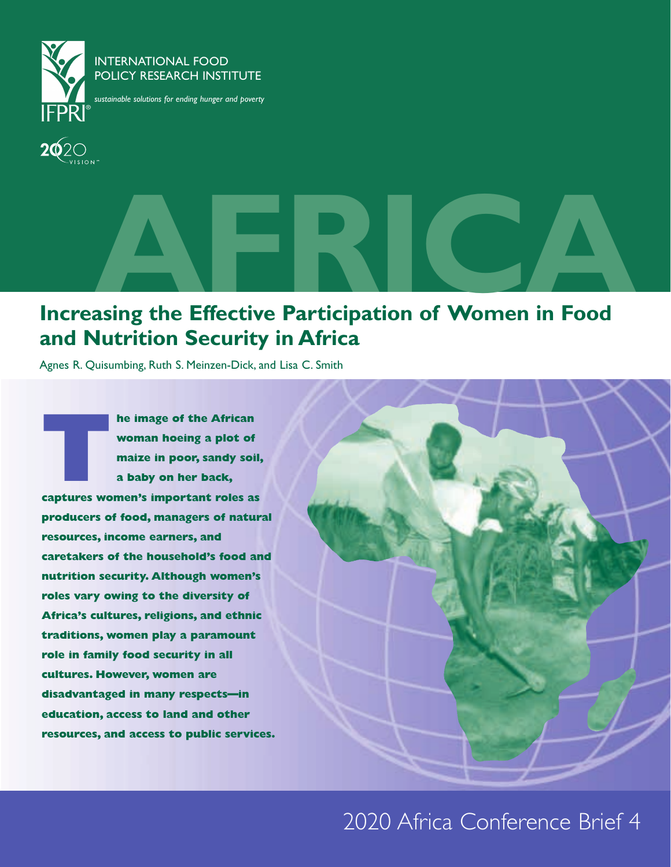

#### INTERNATIONAL FOOD POLICY RESEARCH INSTITUTE

*sustainable solutions for ending hunger and poverty*

# **AFRICA**<br> **Increasing the Effective Participation of Women in Food and Nutrition Security in Africa**

Agnes R. Quisumbing, Ruth S. Meinzen-Dick, and Lisa C. Smith

**The image of the African<br>
woman hoeing a plot of<br>
maize in poor, sandy soil<br>
a baby on her back,<br>
captures women's important roles as woman hoeing a plot of maize in poor, sandy soil, a baby on her back, producers of food, managers of natural resources, income earners, and caretakers of the household's food and nutrition security. Although women's roles vary owing to the diversity of Africa's cultures, religions, and ethnic traditions, women play a paramount role in family food security in all cultures. However, women are disadvantaged in many respects—in education, access to land and other resources, and access to public services.**

### 2020 Africa Conference Brief 4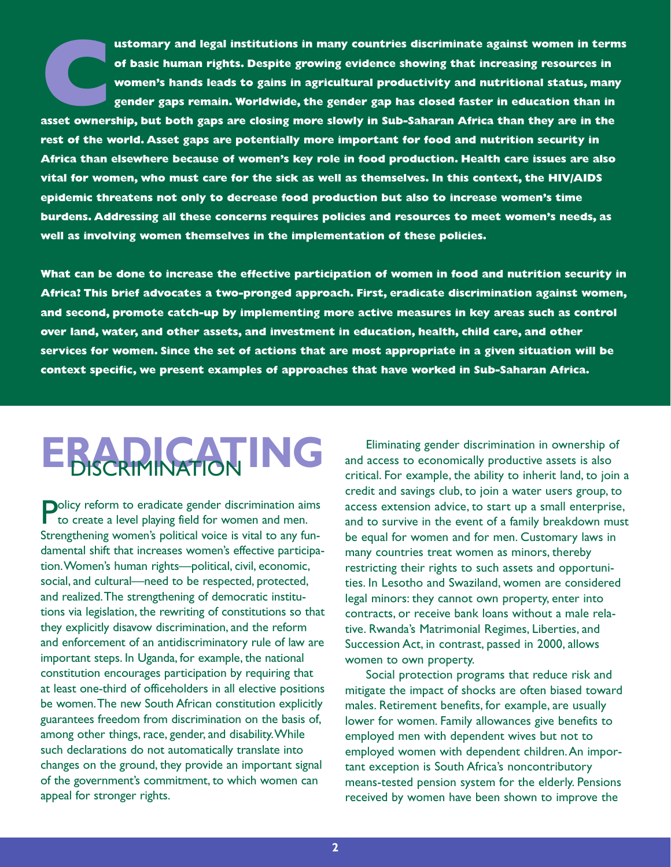**Customary and legal institutions in many countries discriminate against women in terms<br>
of basic human rights. Despite growing evidence showing that increasing resources in<br>
women's hands leads to gains in agricultural pr of basic human rights. Despite growing evidence showing that increasing resources in women's hands leads to gains in agricultural productivity and nutritional status, many gender gaps remain. Worldwide, the gender gap has closed faster in education than in**

**rest of the world. Asset gaps are potentially more important for food and nutrition security in Africa than elsewhere because of women's key role in food production. Health care issues are also vital for women, who must care for the sick as well as themselves. In this context, the HIV/AIDS epidemic threatens not only to decrease food production but also to increase women's time burdens. Addressing all these concerns requires policies and resources to meet women's needs, as well as involving women themselves in the implementation of these policies.**

**What can be done to increase the effective participation of women in food and nutrition security in Africa? This brief advocates a two-pronged approach. First, eradicate discrimination against women, and second, promote catch-up by implementing more active measures in key areas such as control over land, water, and other assets, and investment in education, health, child care, and other services for women. Since the set of actions that are most appropriate in a given situation will be context specific, we present examples of approaches that have worked in Sub-Saharan Africa.**

# **ERIMINATION ING**

**Policy reform to eradicate gender discrimination aims** to create a level playing field for women and men. Strengthening women's political voice is vital to any fundamental shift that increases women's effective participation.Women's human rights—political, civil, economic, social, and cultural—need to be respected, protected, and realized.The strengthening of democratic institutions via legislation, the rewriting of constitutions so that they explicitly disavow discrimination, and the reform and enforcement of an antidiscriminatory rule of law are important steps. In Uganda, for example, the national constitution encourages participation by requiring that at least one-third of officeholders in all elective positions be women.The new South African constitution explicitly guarantees freedom from discrimination on the basis of, among other things, race, gender, and disability.While such declarations do not automatically translate into changes on the ground, they provide an important signal of the government's commitment, to which women can appeal for stronger rights.

Eliminating gender discrimination in ownership of and access to economically productive assets is also critical. For example, the ability to inherit land, to join a credit and savings club, to join a water users group, to access extension advice, to start up a small enterprise, and to survive in the event of a family breakdown must be equal for women and for men. Customary laws in many countries treat women as minors, thereby restricting their rights to such assets and opportunities. In Lesotho and Swaziland, women are considered legal minors: they cannot own property, enter into contracts, or receive bank loans without a male relative. Rwanda's Matrimonial Regimes, Liberties, and Succession Act, in contrast, passed in 2000, allows women to own property.

Social protection programs that reduce risk and mitigate the impact of shocks are often biased toward males. Retirement benefits, for example, are usually lower for women. Family allowances give benefits to employed men with dependent wives but not to employed women with dependent children.An important exception is South Africa's noncontributory means-tested pension system for the elderly. Pensions received by women have been shown to improve the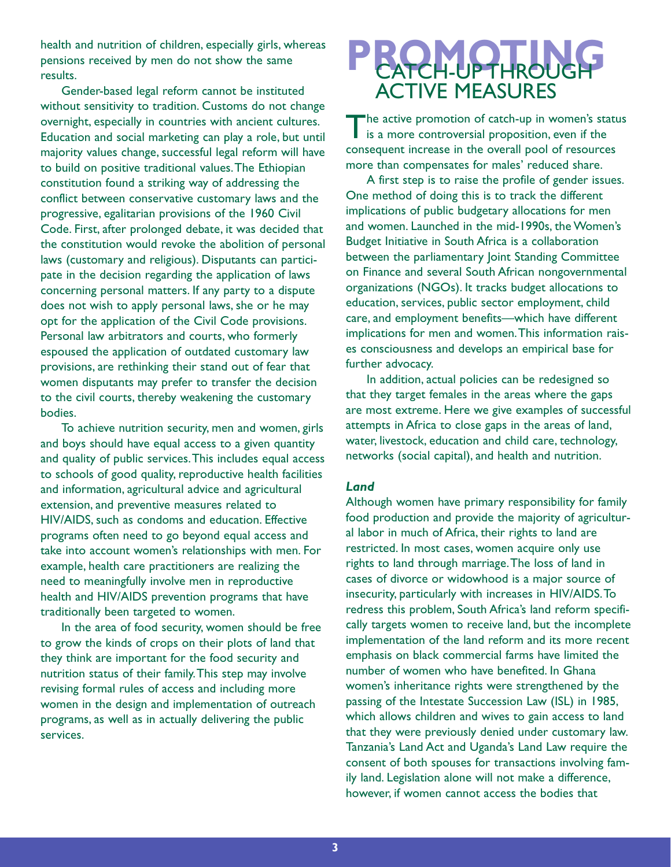health and nutrition of children, especially girls, whereas pensions received by men do not show the same results.

Gender-based legal reform cannot be instituted without sensitivity to tradition. Customs do not change overnight, especially in countries with ancient cultures. Education and social marketing can play a role, but until majority values change, successful legal reform will have to build on positive traditional values.The Ethiopian constitution found a striking way of addressing the conflict between conservative customary laws and the progressive, egalitarian provisions of the 1960 Civil Code. First, after prolonged debate, it was decided that the constitution would revoke the abolition of personal laws (customary and religious). Disputants can participate in the decision regarding the application of laws concerning personal matters. If any party to a dispute does not wish to apply personal laws, she or he may opt for the application of the Civil Code provisions. Personal law arbitrators and courts, who formerly espoused the application of outdated customary law provisions, are rethinking their stand out of fear that women disputants may prefer to transfer the decision to the civil courts, thereby weakening the customary bodies.

To achieve nutrition security, men and women, girls and boys should have equal access to a given quantity and quality of public services.This includes equal access to schools of good quality, reproductive health facilities and information, agricultural advice and agricultural extension, and preventive measures related to HIV/AIDS, such as condoms and education. Effective programs often need to go beyond equal access and take into account women's relationships with men. For example, health care practitioners are realizing the need to meaningfully involve men in reproductive health and HIV/AIDS prevention programs that have traditionally been targeted to women.

In the area of food security, women should be free to grow the kinds of crops on their plots of land that they think are important for the food security and nutrition status of their family.This step may involve revising formal rules of access and including more women in the design and implementation of outreach programs, as well as in actually delivering the public services.

### **PROMOTION** ACTIVE MEASURES

The active promotion of catch-up in women's status is a more controversial proposition, even if the consequent increase in the overall pool of resources more than compensates for males' reduced share.

A first step is to raise the profile of gender issues. One method of doing this is to track the different implications of public budgetary allocations for men and women. Launched in the mid-1990s, the Women's Budget Initiative in South Africa is a collaboration between the parliamentary Joint Standing Committee on Finance and several South African nongovernmental organizations (NGOs). It tracks budget allocations to education, services, public sector employment, child care, and employment benefits—which have different implications for men and women.This information raises consciousness and develops an empirical base for further advocacy.

In addition, actual policies can be redesigned so that they target females in the areas where the gaps are most extreme. Here we give examples of successful attempts in Africa to close gaps in the areas of land, water, livestock, education and child care, technology, networks (social capital), and health and nutrition.

#### *Land*

Although women have primary responsibility for family food production and provide the majority of agricultural labor in much of Africa, their rights to land are restricted. In most cases, women acquire only use rights to land through marriage.The loss of land in cases of divorce or widowhood is a major source of insecurity, particularly with increases in HIV/AIDS.To redress this problem, South Africa's land reform specifically targets women to receive land, but the incomplete implementation of the land reform and its more recent emphasis on black commercial farms have limited the number of women who have benefited. In Ghana women's inheritance rights were strengthened by the passing of the Intestate Succession Law (ISL) in 1985, which allows children and wives to gain access to land that they were previously denied under customary law. Tanzania's Land Act and Uganda's Land Law require the consent of both spouses for transactions involving family land. Legislation alone will not make a difference, however, if women cannot access the bodies that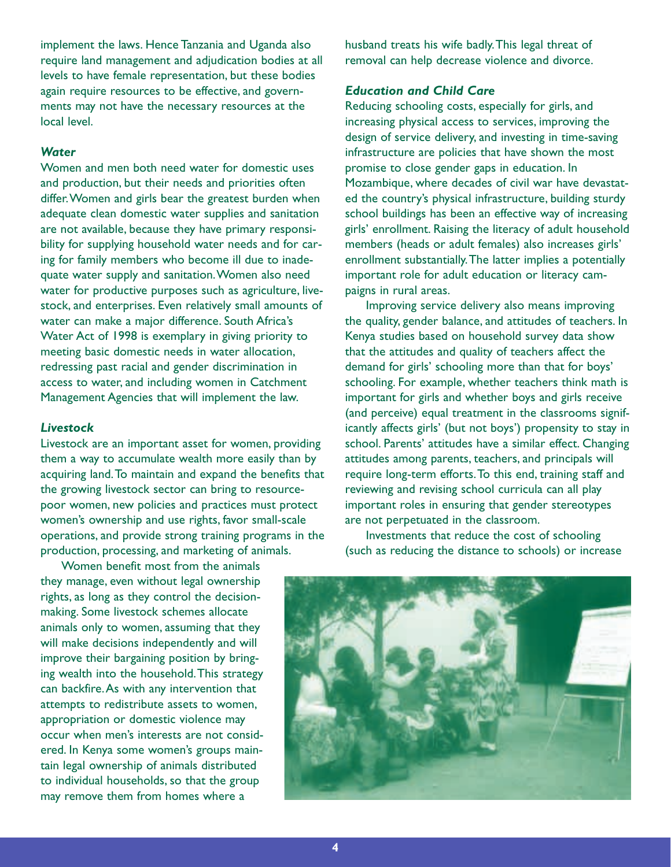implement the laws. Hence Tanzania and Uganda also require land management and adjudication bodies at all levels to have female representation, but these bodies again require resources to be effective, and governments may not have the necessary resources at the local level.

#### *Water*

Women and men both need water for domestic uses and production, but their needs and priorities often differ.Women and girls bear the greatest burden when adequate clean domestic water supplies and sanitation are not available, because they have primary responsibility for supplying household water needs and for caring for family members who become ill due to inadequate water supply and sanitation.Women also need water for productive purposes such as agriculture, livestock, and enterprises. Even relatively small amounts of water can make a major difference. South Africa's Water Act of 1998 is exemplary in giving priority to meeting basic domestic needs in water allocation, redressing past racial and gender discrimination in access to water, and including women in Catchment Management Agencies that will implement the law.

#### *Livestock*

Livestock are an important asset for women, providing them a way to accumulate wealth more easily than by acquiring land.To maintain and expand the benefits that the growing livestock sector can bring to resourcepoor women, new policies and practices must protect women's ownership and use rights, favor small-scale operations, and provide strong training programs in the production, processing, and marketing of animals.

Women benefit most from the animals they manage, even without legal ownership rights, as long as they control the decisionmaking. Some livestock schemes allocate animals only to women, assuming that they will make decisions independently and will improve their bargaining position by bringing wealth into the household.This strategy can backfire.As with any intervention that attempts to redistribute assets to women, appropriation or domestic violence may occur when men's interests are not considered. In Kenya some women's groups maintain legal ownership of animals distributed to individual households, so that the group may remove them from homes where a

husband treats his wife badly.This legal threat of removal can help decrease violence and divorce.

#### *Education and Child Care*

Reducing schooling costs, especially for girls, and increasing physical access to services, improving the design of service delivery, and investing in time-saving infrastructure are policies that have shown the most promise to close gender gaps in education. In Mozambique, where decades of civil war have devastated the country's physical infrastructure, building sturdy school buildings has been an effective way of increasing girls' enrollment. Raising the literacy of adult household members (heads or adult females) also increases girls' enrollment substantially.The latter implies a potentially important role for adult education or literacy campaigns in rural areas.

Improving service delivery also means improving the quality, gender balance, and attitudes of teachers. In Kenya studies based on household survey data show that the attitudes and quality of teachers affect the demand for girls' schooling more than that for boys' schooling. For example, whether teachers think math is important for girls and whether boys and girls receive (and perceive) equal treatment in the classrooms significantly affects girls' (but not boys') propensity to stay in school. Parents' attitudes have a similar effect. Changing attitudes among parents, teachers, and principals will require long-term efforts.To this end, training staff and reviewing and revising school curricula can all play important roles in ensuring that gender stereotypes are not perpetuated in the classroom.

Investments that reduce the cost of schooling (such as reducing the distance to schools) or increase

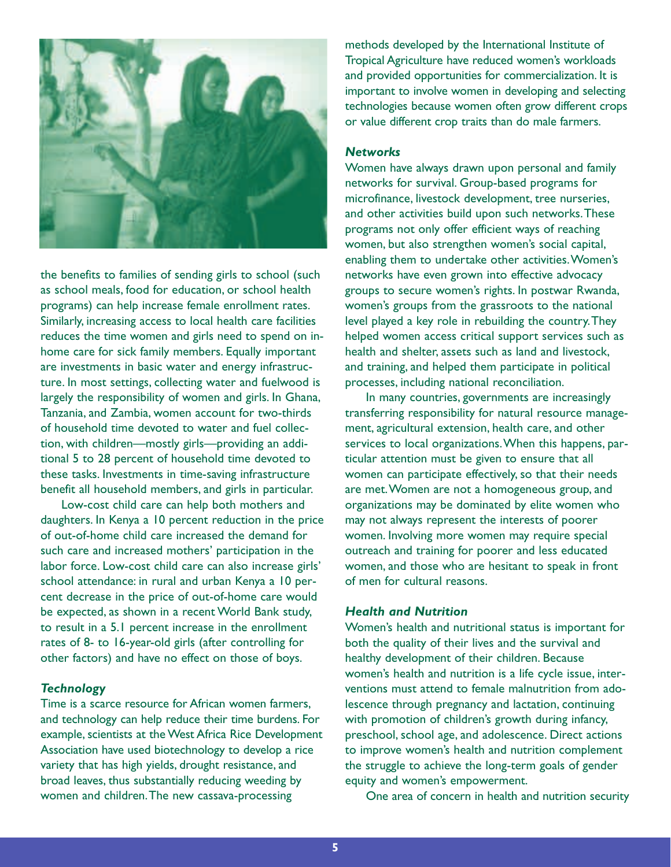

the benefits to families of sending girls to school (such as school meals, food for education, or school health programs) can help increase female enrollment rates. Similarly, increasing access to local health care facilities reduces the time women and girls need to spend on inhome care for sick family members. Equally important are investments in basic water and energy infrastructure. In most settings, collecting water and fuelwood is largely the responsibility of women and girls. In Ghana, Tanzania, and Zambia, women account for two-thirds of household time devoted to water and fuel collection, with children—mostly girls—providing an additional 5 to 28 percent of household time devoted to these tasks. Investments in time-saving infrastructure benefit all household members, and girls in particular.

Low-cost child care can help both mothers and daughters. In Kenya a 10 percent reduction in the price of out-of-home child care increased the demand for such care and increased mothers' participation in the labor force. Low-cost child care can also increase girls' school attendance: in rural and urban Kenya a 10 percent decrease in the price of out-of-home care would be expected, as shown in a recent World Bank study, to result in a 5.1 percent increase in the enrollment rates of 8- to 16-year-old girls (after controlling for other factors) and have no effect on those of boys.

#### *Technology*

Time is a scarce resource for African women farmers, and technology can help reduce their time burdens. For example, scientists at the West Africa Rice Development Association have used biotechnology to develop a rice variety that has high yields, drought resistance, and broad leaves, thus substantially reducing weeding by women and children.The new cassava-processing

methods developed by the International Institute of Tropical Agriculture have reduced women's workloads and provided opportunities for commercialization. It is important to involve women in developing and selecting technologies because women often grow different crops or value different crop traits than do male farmers.

#### *Networks*

Women have always drawn upon personal and family networks for survival. Group-based programs for microfinance, livestock development, tree nurseries, and other activities build upon such networks.These programs not only offer efficient ways of reaching women, but also strengthen women's social capital, enabling them to undertake other activities.Women's networks have even grown into effective advocacy groups to secure women's rights. In postwar Rwanda, women's groups from the grassroots to the national level played a key role in rebuilding the country.They helped women access critical support services such as health and shelter, assets such as land and livestock, and training, and helped them participate in political processes, including national reconciliation.

In many countries, governments are increasingly transferring responsibility for natural resource management, agricultural extension, health care, and other services to local organizations.When this happens, particular attention must be given to ensure that all women can participate effectively, so that their needs are met.Women are not a homogeneous group, and organizations may be dominated by elite women who may not always represent the interests of poorer women. Involving more women may require special outreach and training for poorer and less educated women, and those who are hesitant to speak in front of men for cultural reasons.

#### *Health and Nutrition*

Women's health and nutritional status is important for both the quality of their lives and the survival and healthy development of their children. Because women's health and nutrition is a life cycle issue, interventions must attend to female malnutrition from adolescence through pregnancy and lactation, continuing with promotion of children's growth during infancy, preschool, school age, and adolescence. Direct actions to improve women's health and nutrition complement the struggle to achieve the long-term goals of gender equity and women's empowerment.

One area of concern in health and nutrition security